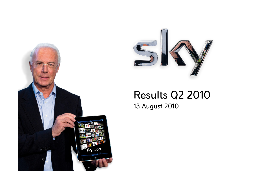



# Results Q2 201013 August 2010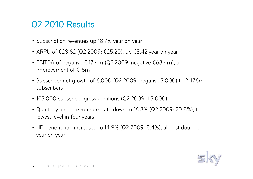### Q2 2010 Results

- Subscription revenues up 18.7% year on year
- ARPU of €28.62 (Q2 2009: €25.20), up €3.42 year on year
- EBITDA of negative €47.4m (Q2 2009: negative €63.4m), an improvement of €16m
- Subscriber net growth of 6,000 (Q2 2009: negative 7,000) to 2.476m subscribers
- 107,000 subscriber gross additions (Q2 2009: 117,000)
- Quarterly annualized churn rate down to 16.3% (Q2 2009: 20.8%), the lowest level in four years
- HD penetration increased to 14.9% (Q2 2009: 8.4%), almost doubled year on year

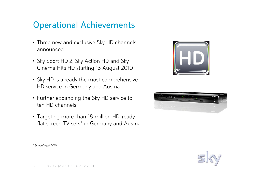### Operational Achievements

- Three new and exclusive Sky HD channels announced
- Sky Sport HD 2, Sky Action HD and Sky Cinema Hits HD starting 13 August 2010
- Sky HD is already the most comprehensive HD service in Germany and Austria
- Further expanding the Sky HD service to ten HD channels
- Targeting more than 18 million HD-ready flat screen TV sets\* in Germany and Austria







\* ScreenDigest <sup>2010</sup>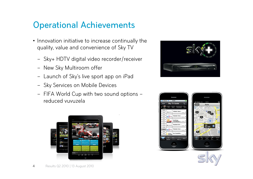## Operational Achievements

- Innovation initiative to increase continually the<br>——————————————————— quality, value and convenience of Sky TV
	- –Sky+ HDTV digital video recorder/receiver
	- –New Sky Multiroom offer
	- –Launch of Sky's live sport app on iPad
	- –Sky Services on Mobile Devices
	- – FIFA World Cup with two sound options – reduced vuvuzela







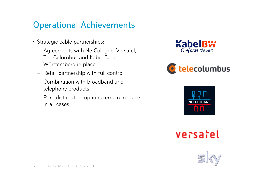### Operational Achievements

- Strategic cable partnerships:
	- –Agreements with NetCologne, Versatel, TeleColumbus and Kabel Baden-Württemberg in place
	- –Retail partnership with full control
	- – Combination with broadband and telephony products
	- Pure distribution options remain in place in all cases









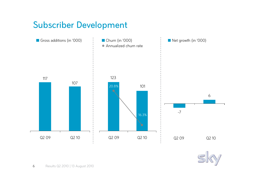### Subscriber Development



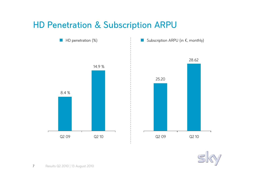#### HD Penetration & Subscription ARPU



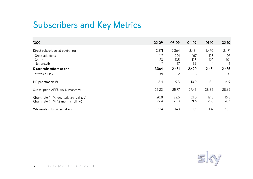### Subscribers and Key Metrics

| '000                                                                            | Q <sub>2</sub> 09 | Q3 09         | Q4 09         | Q1 10         | Q2 10          |
|---------------------------------------------------------------------------------|-------------------|---------------|---------------|---------------|----------------|
| Direct subscribers at beginning                                                 | 2,371             | 2,364         | 2,431         | 2,470         | 2,471          |
| Gross additions<br>Churn                                                        | 117<br>$-123$     | 201<br>$-135$ | 167<br>$-128$ | 123<br>$-122$ | 107<br>$-101$  |
| Net growth<br>Direct subscribers at end                                         | $-7$<br>2,364     | 67<br>2,431   | 39<br>2,470   | 2,471         | 6<br>2,476     |
| of which Flex                                                                   | 38                | 12            | 3             |               | $\overline{O}$ |
| HD penetration (%)                                                              | 8.4               | 9.3           | 10.9          | 13.1          | 14.9           |
| Subscription ARPU (in $\epsilon$ , monthly)                                     | 25.20             | 25.77         | 27.45         | 28.85         | 28.62          |
| Churn rate (in %, quarterly annualized)<br>Churn rate (in %, 12 months rolling) | 20.8<br>22.4      | 22.5<br>23.3  | 21.0<br>21.6  | 19.8<br>21.0  | 16.3<br>20.1   |
| Wholesale subscribers at end                                                    | 334               | 140           | 131           | 132           | 133            |

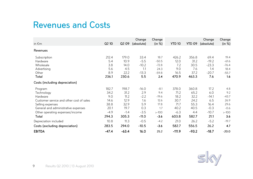#### Revenues and Costs

| in $\epsilon$ m                          | Q <sub>2</sub> 10 | Q2 09   | Change<br>(absolute) | Change<br>(in %) | <b>YTD 10</b> | <b>YTD 09</b> | Change<br>(absolute) | Change<br>(in %) |
|------------------------------------------|-------------------|---------|----------------------|------------------|---------------|---------------|----------------------|------------------|
| Revenues                                 |                   |         |                      |                  |               |               |                      |                  |
| Subscription                             | 212.4             | 179.0   | 33.4                 | 18.7             | 426.2         | 356.8         | 69.4                 | 19.4             |
| Hardware                                 | 5.4               | 10.9    | $-5.5$               | $-50.5$          | 12.0          | 31.2          | $-19.2$              | $-61.6$          |
| Wholesale                                | 3.8               | 14.0    | $-10.2$              | $-72.8$          | 7.2           | 30.5          | $-23.3$              | $-76.4$          |
| Advertising                              | 5.6               | 4.5     | 1.1                  | 24.3             | 9.0           | 7.6           | 1.4                  | 18.4             |
| Other                                    | 8.9               | 22.2    | $-13.3$              | $-59.8$          | 16.5          | 37.2          | $-20.7$              | $-55.7$          |
| <b>Total</b>                             | 236.1             | 230.6   | 5.5                  | 2.4              | 470.9         | 463.3         | 7.6                  | 1.6              |
| Costs (including depreciation)           |                   |         |                      |                  |               |               |                      |                  |
| Program                                  | 182.7             | 198.7   | $-16.0$              | $-8.1$           | 378.0         | 360.8         | 17.2                 | 4.8              |
| Technology                               | 34.2              | 31.2    | 2.9                  | 9.4              | 71.2          | 65.2          | 6.0                  | 9.2              |
| Hardware                                 | 9.0               | 11.2    | $-2.2$               | $-19.6$          | 18.2          | 32.2          | $-14.1$              | $-43.7$          |
| Customer service and other cost of sales | 14.6              | 12.9    | 1.6                  | 12.6             | 30.7          | 24.2          | 6.5                  | 26.9             |
| Selling expenses                         | 38.8              | 32.9    | 5.9                  | 17.8             | 71.7          | 55.3          | 16.4                 | 29.6             |
| General and administrative expenses      | 20.1              | 19.7    | 0.3                  | 1.7              | 40.2          | 40.5          | $-0.3$               | $-0.6$           |
| Other operating expenses/income          | $-4.9$            | $-1.4$  | $-3.5$               | $> -100$         | $-6.3$        | 4.4           | $-10.7$              | $> -100$         |
| <b>Total</b>                             | 294.3             | 305.3   | $-11.0$              | $-3.6$           | 603.8         | 582.7         | 21.1                 | 3.6              |
| Depreciation included                    | 10.8              | 11.3    | $-0.5$               | $-4.2$           | 21.0          | 26.2          | $-5.2$               | $-19.7$          |
| Costs (excluding depreciation)           | 283.5             | 294.0   | $-10.5$              | $-3.6$           | 582.7         | 556.5         | 26.2                 | 4.7              |
| <b>EBITDA</b>                            | $-47.4$           | $-63.4$ | 16.0                 | 25.2             | $-111.9$      | $-93.2$       | $-18.7$              | $-20.0$          |

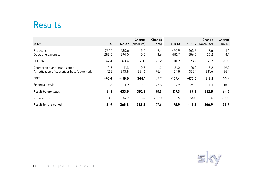#### Results

| in $\epsilon$ m                                                            | Q2 10          | Q2 09          | Change<br>(absolute) | Change<br>(in %)  | <b>YTD 10</b>  | <b>YTD 09</b>  | Change<br>(absolute) | Change<br>(in %)   |
|----------------------------------------------------------------------------|----------------|----------------|----------------------|-------------------|----------------|----------------|----------------------|--------------------|
| Revenues<br>Operating expenses                                             | 236.1<br>283.5 | 230.6<br>294.0 | 5.5<br>$-10.5$       | 2.4<br>$-3.6$     | 470.9<br>582.7 | 463.3<br>556.5 | 7.6<br>26.2          | 1.6<br>4.7         |
| <b>EBITDA</b>                                                              | $-47.4$        | $-63.4$        | 16.0                 | 25.2              | $-111.9$       | $-93.2$        | $-18.7$              | $-20.0$            |
| Depreciation and amortization<br>Amortization of subscriber base/trademark | 10.8<br>12.2   | 11.3<br>343.8  | $-0.5$<br>$-331.6$   | $-4.2$<br>$-96.4$ | 21.0<br>24.5   | 26.2<br>356.1  | $-5.2$<br>$-331.6$   | $-19.7$<br>$-93.1$ |
| <b>EBIT</b>                                                                | $-70.4$        | $-418.5$       | 348.1                | 83.2              | $-157.4$       | $-475.5$       | 318.1                | 66.9               |
| Financial result                                                           | $-10.8$        | $-14.9$        | 4.1                  | 27.6              | $-19.9$        | $-24.4$        | 4.4                  | 18.2               |
| <b>Result before taxes</b>                                                 | $-81.2$        | $-433.5$       | 352.2                | 81.3              | $-177.3$       | $-499.8$       | 322.5                | 64.5               |
| Income taxes                                                               | $-0.7$         | 67.7           | $-68.4$              | $> -100$          | $-1.5$         | 54.0           | $-55.6$              | $> -100$           |
| Result for the period                                                      | $-81.9$        | $-365.8$       | 283.8                | 77.6              | $-178.9$       | $-445.8$       | 266.9                | 59.9               |

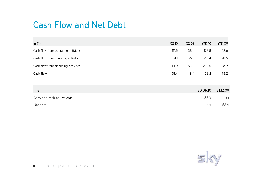### Cash Flow and Net Debt

| in $\epsilon$ m                     | Q2 10    | Q2 09   | <b>YTD 10</b> | YTD 09  |
|-------------------------------------|----------|---------|---------------|---------|
| Cash flow from operating activities | $-111.5$ | $-38.4$ | $-173.8$      | $-52.6$ |
| Cash flow from investing activities | $-1.1$   | $-5.3$  | $-18.4$       | $-11.5$ |
| Cash flow from financing activities | 144.0    | 53.0    | 220.5         | 18.9    |
| Cash flow                           | 31.4     | 9.4     | 28.2          | $-45.2$ |
|                                     |          |         |               |         |

| in $\epsilon$ m           | 30.06.10 31.12.09 |       |
|---------------------------|-------------------|-------|
| Cash and cash equivalents | 36.3              | 8.1   |
| Net debt                  | 253.9             | 162.4 |

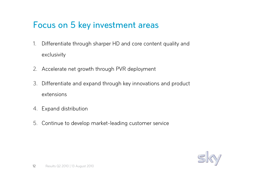### Focus on 5 key investment areas

- 1. Differentiate through sharper HD and core content quality and exclusivity
- 2. Accelerate net growth through PVR deployment
- 3. Differentiate and expand through key innovations and product extensions
- 4. Expand distribution
- 5. Continue to develop market-leading customer service

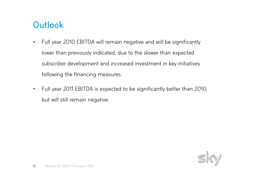## **Outlook**

- $\bullet$  Full year 2010 EBITDA will remain negative and will be significantly lower than previously indicated, due to the slower than expectedsubscriber development and increased investment in key initiatives following the financing measures.
- $\bullet$  Full year 2011 EBITDA is expected to be significantly better than 2010, but will still remain negative.

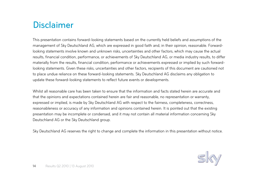### Disclaimer

This presentation contains forward-looking statements based on the currently held beliefs and assumptions of the management of Sky Deutschland AG, which are expressed in good faith and, in their opinion, reasonable. Forwardlooking statements involve known and unknown risks, uncertainties and other factors, which may cause the actual results, financial condition, performance, or achievements of Sky Deutschland AG, or media industry results, to differ materially from the results, financial condition, performance or achievements expressed or implied by such forwardlooking statements. Given these risks, uncertainties and other factors, recipients of this document are cautioned not to place undue reliance on these forward-looking statements. Sky Deutschland AG disclaims any obligation to update these forward-looking statements to reflect future events or developments.

Whilst all reasonable care has been taken to ensure that the information and facts stated herein are accurate and that the opinions and expectations contained herein are fair and reasonable, no representation or warranty, expressed or implied, is made by Sky Deutschland AG with respect to the fairness, completeness, correctness, reasonableness or accuracy of any information and opinions contained herein. It is pointed out that the existing presentation may be incomplete or condensed, and it may not contain all material information concerning Sky Deutschland AG or the Sky Deutschland group.

Sky Deutschland AG reserves the right to change and complete the information in this presentation without notice.